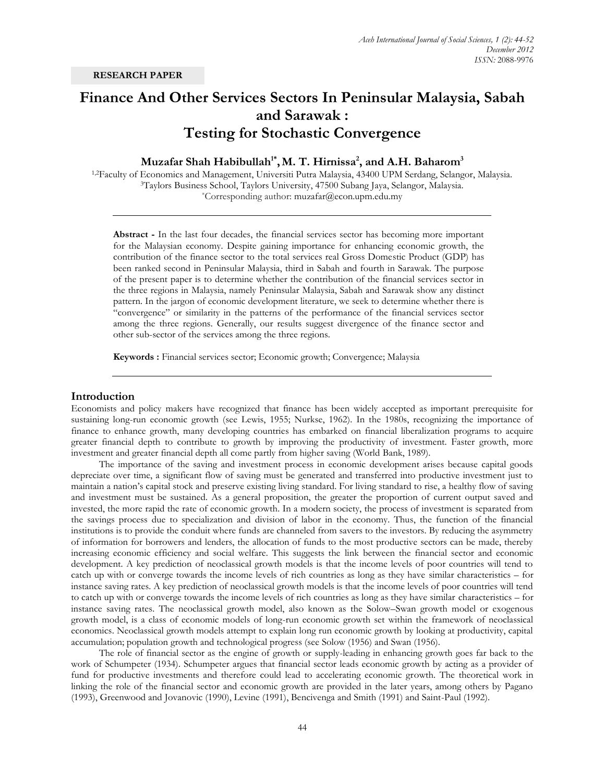# **Finance And Other Services Sectors In Peninsular Malaysia, Sabah and Sarawak : Testing for Stochastic Convergence**

**Muzafar Shah Habibullah1\* ,M. T. Hirnissa<sup>2</sup> , and A.H. Baharom<sup>3</sup>**

1,2Faculty of Economics and Management, Universiti Putra Malaysia, 43400 UPM Serdang, Selangor, Malaysia. <sup>3</sup>Taylors Business School, Taylors University, 47500 Subang Jaya, Selangor, Malaysia. \*Corresponding author: muzafar@econ.upm.edu.my

**Abstract -** In the last four decades, the financial services sector has becoming more important for the Malaysian economy. Despite gaining importance for enhancing economic growth, the contribution of the finance sector to the total services real Gross Domestic Product (GDP) has been ranked second in Peninsular Malaysia, third in Sabah and fourth in Sarawak. The purpose of the present paper is to determine whether the contribution of the financial services sector in the three regions in Malaysia, namely Peninsular Malaysia, Sabah and Sarawak show any distinct pattern. In the jargon of economic development literature, we seek to determine whether there is "convergence" or similarity in the patterns of the performance of the financial services sector among the three regions. Generally, our results suggest divergence of the finance sector and other sub-sector of the services among the three regions.

**Keywords :** Financial services sector; Economic growth; Convergence; Malaysia

## **Introduction**

Economists and policy makers have recognized that finance has been widely accepted as important prerequisite for sustaining long-run economic growth (see Lewis, 1955; Nurkse, 1962). In the 1980s, recognizing the importance of finance to enhance growth, many developing countries has embarked on financial liberalization programs to acquire greater financial depth to contribute to growth by improving the productivity of investment. Faster growth, more investment and greater financial depth all come partly from higher saving (World Bank, 1989).

 The importance of the saving and investment process in economic development arises because capital goods depreciate over time, a significant flow of saving must be generated and transferred into productive investment just to maintain a nation"s capital stock and preserve existing living standard. For living standard to rise, a healthy flow of saving and investment must be sustained. As a general proposition, the greater the proportion of current output saved and invested, the more rapid the rate of economic growth. In a modern society, the process of investment is separated from the savings process due to specialization and division of labor in the economy. Thus, the function of the financial institutions is to provide the conduit where funds are channeled from savers to the investors. By reducing the asymmetry of information for borrowers and lenders, the allocation of funds to the most productive sectors can be made, thereby increasing economic efficiency and social welfare. This suggests the link between the financial sector and economic development. A key prediction of neoclassical growth models is that the income levels of poor countries will tend to catch up with or converge towards the income levels of rich countries as long as they have similar characteristics – for instance saving rates. A key prediction of neoclassical growth models is that the income levels of poor countries will tend to catch up with or converge towards the income levels of rich countries as long as they have similar characteristics – for instance saving rates. The neoclassical growth model, also known as the Solow–Swan growth model or exogenous growth model, is a class of economic models of long-run economic growth set within the framework of neoclassical economics. Neoclassical growth models attempt to explain long run economic growth by looking at productivity, capital accumulation; population growth and technological progress (see Solow (1956) and Swan (1956).

The role of financial sector as the engine of growth or supply-leading in enhancing growth goes far back to the work of Schumpeter (1934). Schumpeter argues that financial sector leads economic growth by acting as a provider of fund for productive investments and therefore could lead to accelerating economic growth. The theoretical work in linking the role of the financial sector and economic growth are provided in the later years, among others by Pagano (1993), Greenwood and Jovanovic (1990), Levine (1991), Bencivenga and Smith (1991) and Saint-Paul (1992).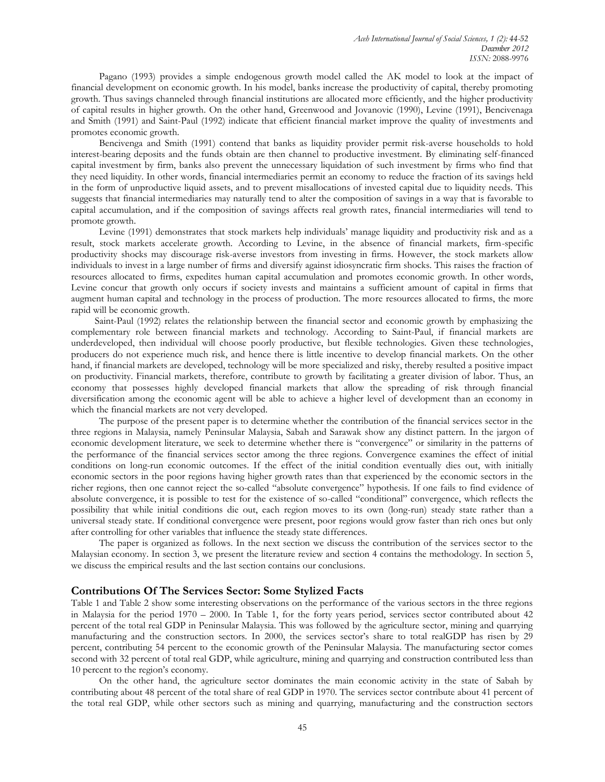Pagano (1993) provides a simple endogenous growth model called the AK model to look at the impact of financial development on economic growth. In his model, banks increase the productivity of capital, thereby promoting growth. Thus savings channeled through financial institutions are allocated more efficiently, and the higher productivity of capital results in higher growth. On the other hand, Greenwood and Jovanovic (1990), Levine (1991), Bencivenaga and Smith (1991) and Saint-Paul (1992) indicate that efficient financial market improve the quality of investments and promotes economic growth.

Bencivenga and Smith (1991) contend that banks as liquidity provider permit risk-averse households to hold interest-bearing deposits and the funds obtain are then channel to productive investment. By eliminating self-financed capital investment by firm, banks also prevent the unnecessary liquidation of such investment by firms who find that they need liquidity. In other words, financial intermediaries permit an economy to reduce the fraction of its savings held in the form of unproductive liquid assets, and to prevent misallocations of invested capital due to liquidity needs. This suggests that financial intermediaries may naturally tend to alter the composition of savings in a way that is favorable to capital accumulation, and if the composition of savings affects real growth rates, financial intermediaries will tend to promote growth.

Levine (1991) demonstrates that stock markets help individuals" manage liquidity and productivity risk and as a result, stock markets accelerate growth. According to Levine, in the absence of financial markets, firm-specific productivity shocks may discourage risk-averse investors from investing in firms. However, the stock markets allow individuals to invest in a large number of firms and diversify against idiosyncratic firm shocks. This raises the fraction of resources allocated to firms, expedites human capital accumulation and promotes economic growth. In other words, Levine concur that growth only occurs if society invests and maintains a sufficient amount of capital in firms that augment human capital and technology in the process of production. The more resources allocated to firms, the more rapid will be economic growth.

Saint-Paul (1992) relates the relationship between the financial sector and economic growth by emphasizing the complementary role between financial markets and technology. According to Saint-Paul, if financial markets are underdeveloped, then individual will choose poorly productive, but flexible technologies. Given these technologies, producers do not experience much risk, and hence there is little incentive to develop financial markets. On the other hand, if financial markets are developed, technology will be more specialized and risky, thereby resulted a positive impact on productivity. Financial markets, therefore, contribute to growth by facilitating a greater division of labor. Thus, an economy that possesses highly developed financial markets that allow the spreading of risk through financial diversification among the economic agent will be able to achieve a higher level of development than an economy in which the financial markets are not very developed.

The purpose of the present paper is to determine whether the contribution of the financial services sector in the three regions in Malaysia, namely Peninsular Malaysia, Sabah and Sarawak show any distinct pattern. In the jargon of economic development literature, we seek to determine whether there is "convergence" or similarity in the patterns of the performance of the financial services sector among the three regions. Convergence examines the effect of initial conditions on long-run economic outcomes. If the effect of the initial condition eventually dies out, with initially economic sectors in the poor regions having higher growth rates than that experienced by the economic sectors in the richer regions, then one cannot reject the so-called "absolute convergence" hypothesis. If one fails to find evidence of absolute convergence, it is possible to test for the existence of so-called "conditional" convergence, which reflects the possibility that while initial conditions die out, each region moves to its own (long-run) steady state rather than a universal steady state. If conditional convergence were present, poor regions would grow faster than rich ones but only after controlling for other variables that influence the steady state differences.

The paper is organized as follows. In the next section we discuss the contribution of the services sector to the Malaysian economy. In section 3, we present the literature review and section 4 contains the methodology. In section 5, we discuss the empirical results and the last section contains our conclusions.

# **Contributions Of The Services Sector: Some Stylized Facts**

Table 1 and Table 2 show some interesting observations on the performance of the various sectors in the three regions in Malaysia for the period 1970 – 2000. In Table 1, for the forty years period, services sector contributed about 42 percent of the total real GDP in Peninsular Malaysia. This was followed by the agriculture sector, mining and quarrying manufacturing and the construction sectors. In 2000, the services sector's share to total realGDP has risen by 29 percent, contributing 54 percent to the economic growth of the Peninsular Malaysia. The manufacturing sector comes second with 32 percent of total real GDP, while agriculture, mining and quarrying and construction contributed less than 10 percent to the region"s economy.

On the other hand, the agriculture sector dominates the main economic activity in the state of Sabah by contributing about 48 percent of the total share of real GDP in 1970. The services sector contribute about 41 percent of the total real GDP, while other sectors such as mining and quarrying, manufacturing and the construction sectors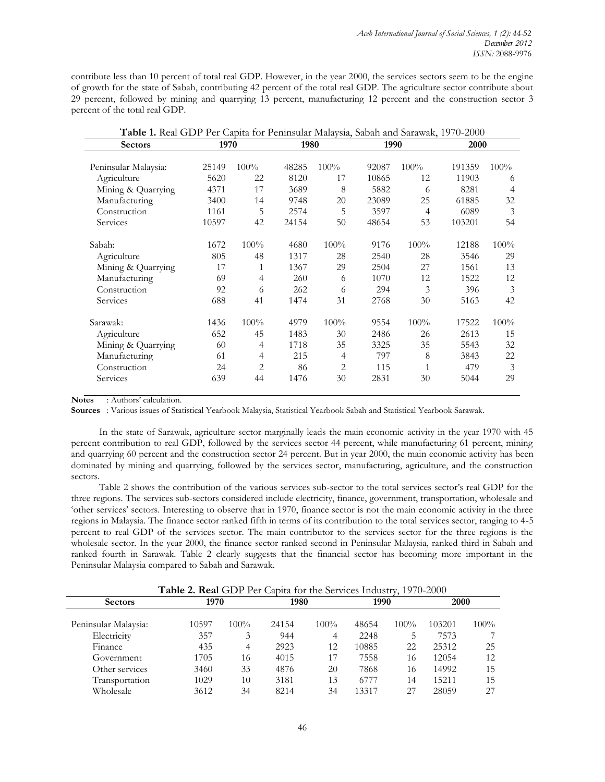contribute less than 10 percent of total real GDP. However, in the year 2000, the services sectors seem to be the engine of growth for the state of Sabah, contributing 42 percent of the total real GDP. The agriculture sector contribute about 29 percent, followed by mining and quarrying 13 percent, manufacturing 12 percent and the construction sector 3 percent of the total real GDP.

| Sectors              | 1970  |                | 1980  |                |       | 1990           | 2000   |      |  |
|----------------------|-------|----------------|-------|----------------|-------|----------------|--------|------|--|
|                      |       |                |       |                |       |                |        |      |  |
| Peninsular Malaysia: | 25149 | 100%           | 48285 | 100%           | 92087 | 100%           | 191359 | 100% |  |
| Agriculture          | 5620  | 22             | 8120  | 17             | 10865 | 12             | 11903  | 6    |  |
| Mining & Quarrying   | 4371  | 17             | 3689  | 8              | 5882  | 6              | 8281   | 4    |  |
| Manufacturing        | 3400  | 14             | 9748  | 20             | 23089 | 25             | 61885  | 32   |  |
| Construction         | 1161  | 5              | 2574  | 5              | 3597  | $\overline{4}$ | 6089   | 3    |  |
| Services             | 10597 | 42             | 24154 | 50             | 48654 | 53             | 103201 | 54   |  |
|                      |       |                |       |                |       |                |        |      |  |
| Sabah:               | 1672  | 100%           | 4680  | 100%           | 9176  | $100\%$        | 12188  | 100% |  |
| Agriculture          | 805   | 48             | 1317  | 28             | 2540  | 28             | 3546   | 29   |  |
| Mining & Quarrying   | 17    | 1              | 1367  | 29             | 2504  | 27             | 1561   | 13   |  |
| Manufacturing        | 69    | $\overline{4}$ | 260   | 6              | 1070  | 12             | 1522   | 12   |  |
| Construction         | 92    | 6              | 262   | 6              | 294   | 3              | 396    | 3    |  |
| Services             | 688   | 41             | 1474  | 31             | 2768  | 30             | 5163   | 42   |  |
| Sarawak:             | 1436  | 100%           | 4979  | 100%           | 9554  | 100%           | 17522  | 100% |  |
| Agriculture          | 652   | 45             | 1483  | 30             | 2486  | 26             | 2613   | 15   |  |
| Mining & Quarrying   | 60    | 4              | 1718  | 35             | 3325  | 35             | 5543   | 32   |  |
| Manufacturing        | 61    | 4              | 215   | 4              | 797   | 8              | 3843   | 22   |  |
|                      |       |                |       |                |       |                |        |      |  |
| Construction         | 24    | $\overline{2}$ | 86    | $\overline{2}$ | 115   | $\mathbf{1}$   | 479    | 3    |  |
| Services             | 639   | 44             | 1476  | 30             | 2831  | 30             | 5044   | 29   |  |

**Table 1.** Real GDP Per Capita for Peninsular Malaysia, Sabah and Sarawak, 1970-2000

**Notes** : Authors" calculation.

**Sources** : Various issues of Statistical Yearbook Malaysia, Statistical Yearbook Sabah and Statistical Yearbook Sarawak.

In the state of Sarawak, agriculture sector marginally leads the main economic activity in the year 1970 with 45 percent contribution to real GDP, followed by the services sector 44 percent, while manufacturing 61 percent, mining and quarrying 60 percent and the construction sector 24 percent. But in year 2000, the main economic activity has been dominated by mining and quarrying, followed by the services sector, manufacturing, agriculture, and the construction sectors.

Table 2 shows the contribution of the various services sub-sector to the total services sector's real GDP for the three regions. The services sub-sectors considered include electricity, finance, government, transportation, wholesale and "other services" sectors. Interesting to observe that in 1970, finance sector is not the main economic activity in the three regions in Malaysia. The finance sector ranked fifth in terms of its contribution to the total services sector, ranging to 4-5 percent to real GDP of the services sector. The main contributor to the services sector for the three regions is the wholesale sector. In the year 2000, the finance sector ranked second in Peninsular Malaysia, ranked third in Sabah and ranked fourth in Sarawak. Table 2 clearly suggests that the financial sector has becoming more important in the Peninsular Malaysia compared to Sabah and Sarawak.

|                      | Table 2. Real GDP Per Capita for the Services Industry, 1970-2000 |                |       |         |       |         |        |         |
|----------------------|-------------------------------------------------------------------|----------------|-------|---------|-------|---------|--------|---------|
| <b>Sectors</b>       | 1970                                                              |                | 1980  |         | 1990  |         | 2000   |         |
| Peninsular Malaysia: | 10597                                                             | $100\%$        | 24154 | $100\%$ | 48654 | $100\%$ | 103201 | $100\%$ |
| Electricity          | 357                                                               | 3              | 944   | 4       | 2248  | 5       | 7573   |         |
| Finance              | 435                                                               | $\overline{4}$ | 2923  | 12      | 10885 | 22      | 25312  | 25      |
| Government           | 1705                                                              | 16             | 4015  | 17      | 7558  | 16      | 12054  | 12      |
| Other services       | 3460                                                              | 33             | 4876  | 20      | 7868  | 16      | 14992  | 15      |
| Transportation       | 1029                                                              | 10             | 3181  | 13      | 6777  | 14      | 15211  | 15      |
| Wholesale            | 3612                                                              | 34             | 8214  | 34      | 13317 | 27      | 28059  | 27      |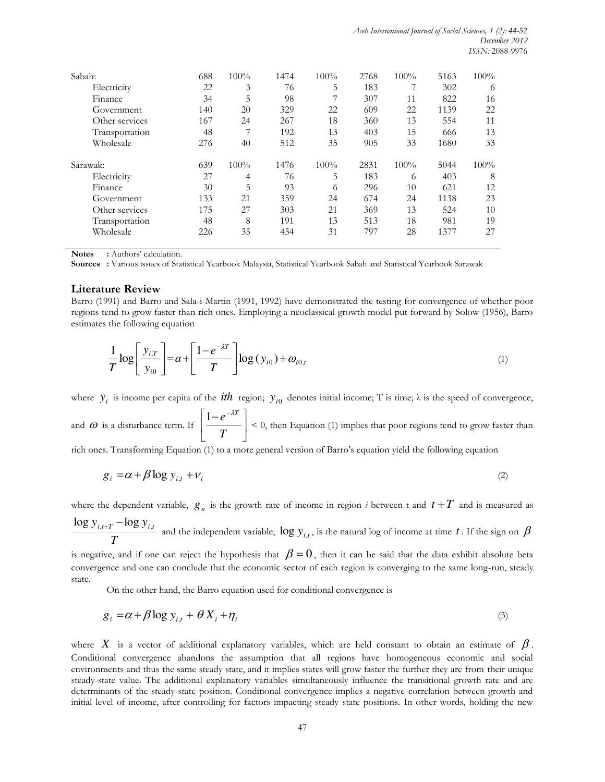| Sabah:         | 688 | 100% | 1474 | 100%    | 2768 | 100% | 5163 | 100% |
|----------------|-----|------|------|---------|------|------|------|------|
| Electricity    | 22  | 3    | 76   | 5       | 183  |      | 302  | 6    |
| Finance        | 34  | 5    | 98   |         | 307  | 11   | 822  | 16   |
| Government     | 140 | 20   | 329  | 22      | 609  | 22   | 1139 | 22   |
| Other services | 167 | 24   | 267  | 18      | 360  | 13   | 554  | 11   |
| Transportation | 48  | 7    | 192  | 13      | 403  | 15   | 666  | 13   |
| Wholesale      | 276 | 40   | 512  | 35      | 905  | 33   | 1680 | 33   |
| Sarawak:       | 639 | 100% | 1476 | $100\%$ | 2831 | 100% | 5044 | 100% |
| Electricity    | 27  | 4    | 76   | 5       | 183  | 6    | 403  | 8    |
| Finance        | 30  | 5    | 93   | 6       | 296  | 10   | 621  | 12   |
| Government     | 133 | 21   | 359  | 24      | 674  | 24   | 1138 | 23   |
| Other services | 175 | 27   | 303  | 21      | 369  | 13   | 524  | 10   |
| Transportation | 48  | 8    | 191  | 13      | 513  | 18   | 981  | 19   |
| Wholesale      | 226 | 35   | 454  | 31      | 797  | 28   | 1377 | 27   |

**Notes** : Authors' calculation.

**Sources :** Various issues of Statistical Yearbook Malaysia, Statistical Yearbook Sabah and Statistical Yearbook Sarawak

#### **Literature Review**

Barro (1991) and Barro and Sala-i-Martin (1991, 1992) have demonstrated the testing for convergence of whether poor regions tend to grow faster than rich ones. Employing a neoclassical growth model put forward by Solow (1956), Barro estimates the following equation

$$
\frac{1}{T} \log \left[ \frac{y_{i,T}}{y_{i0}} \right] = a + \left[ \frac{1 - e^{-\lambda T}}{T} \right] \log (y_{i0}) + \omega_{i0,t} \tag{1}
$$

where  $y_i$  is income per capita of the *ith* region;  $y_{i0}$  denotes initial income; T is time;  $\lambda$  is the speed of convergence,

and  $\omega$  is a disturbance term. If  $\boxed{\phantom{1} \boxed{\phantom{1} \boxed{\phantom{1} \boxed{\phantom{1} \boxed{\phantom{1} \boxed{\phantom{1} \boxed{\phantom{1} \boxed{\phantom{1} \boxed{\phantom{1} \boxed{\phantom{1} \boxed{\phantom{1} \boxed{\phantom{1} \boxed{\phantom{1} \boxed{\phantom{1} \boxed{\phantom{1} \boxed{\phantom{1} \boxed{\phantom{1} \boxed{\phantom{1} \boxed{\phantom{1} \boxed{\phantom{1} \boxed{\phantom{1} \boxed{\phantom{1} \boxed{\phantom{1} \$  $\rfloor$  $\overline{\phantom{a}}$  $\mathbf{r}$ L  $\lceil 1-e^{-} \rceil$ *T*  $\left|\frac{1-e^{-\lambda T}}{T}\right|$  < 0, then Equation (1) implies that poor regions tend to grow faster than

rich ones. Transforming Equation (1) to a more general version of Barro"s equation yield the following equation

$$
g_i = \alpha + \beta \log y_{i,t} + v_i \tag{2}
$$

where the dependent variable,  $g_n$  is the growth rate of income in region *i* between t and  $t + T$  and is measured as  $\log y_{i,t+T} - \log y_{i,t}$ 

*T* and the independent variable,  $\log y_{i,t}$ , is the natural log of income at time *t*. If the sign on  $\beta$ 

is negative, and if one can reject the hypothesis that  $\beta = 0$ , then it can be said that the data exhibit absolute beta convergence and one can conclude that the economic sector of each region is converging to the same long-run, steady state.

On the other hand, the Barro equation used for conditional convergence is

$$
g_i = \alpha + \beta \log y_{i,t} + \theta X_i + \eta_i \tag{3}
$$

where  $X$  is a vector of additional explanatory variables, which are held constant to obtain an estimate of  $\beta$ . Conditional convergence abandons the assumption that all regions have homogeneous economic and social environments and thus the same steady state, and it implies states will grow faster the further they are from their unique steady-state value. The additional explanatory variables simultaneously influence the transitional growth rate and are determinants of the steady-state position. Conditional convergence implies a negative correlation between growth and initial level of income, after controlling for factors impacting steady state positions. In other words, holding the new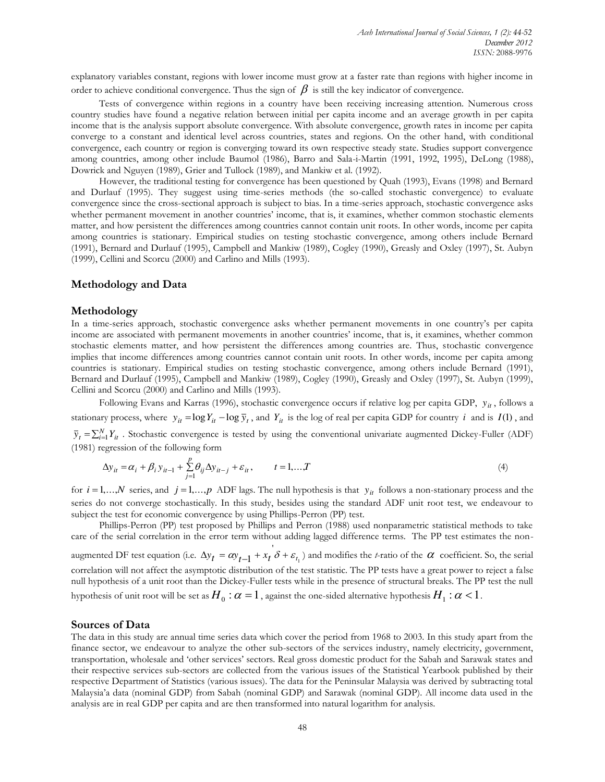explanatory variables constant, regions with lower income must grow at a faster rate than regions with higher income in order to achieve conditional convergence. Thus the sign of  $\beta$  is still the key indicator of convergence.

Tests of convergence within regions in a country have been receiving increasing attention. Numerous cross country studies have found a negative relation between initial per capita income and an average growth in per capita income that is the analysis support absolute convergence. With absolute convergence, growth rates in income per capita converge to a constant and identical level across countries, states and regions. On the other hand, with conditional convergence, each country or region is converging toward its own respective steady state. Studies support convergence among countries, among other include Baumol (1986), Barro and Sala-i-Martin (1991, 1992, 1995), DeLong (1988), Dowrick and Nguyen (1989), Grier and Tullock (1989), and Mankiw et al. (1992).

However, the traditional testing for convergence has been questioned by Quah (1993), Evans (1998) and Bernard and Durlauf (1995). They suggest using time-series methods (the so-called stochastic convergence) to evaluate convergence since the cross-sectional approach is subject to bias. In a time-series approach, stochastic convergence asks whether permanent movement in another countries' income, that is, it examines, whether common stochastic elements matter, and how persistent the differences among countries cannot contain unit roots. In other words, income per capita among countries is stationary. Empirical studies on testing stochastic convergence, among others include Bernard (1991), Bernard and Durlauf (1995), Campbell and Mankiw (1989), Cogley (1990), Greasly and Oxley (1997), St. Aubyn (1999), Cellini and Scorcu (2000) and Carlino and Mills (1993).

### **Methodology and Data**

#### **Methodology**

In a time-series approach, stochastic convergence asks whether permanent movements in one country"s per capita income are associated with permanent movements in another countries" income, that is, it examines, whether common stochastic elements matter, and how persistent the differences among countries are. Thus, stochastic convergence implies that income differences among countries cannot contain unit roots. In other words, income per capita among countries is stationary. Empirical studies on testing stochastic convergence, among others include Bernard (1991), Bernard and Durlauf (1995), Campbell and Mankiw (1989), Cogley (1990), Greasly and Oxley (1997), St. Aubyn (1999), Cellini and Scorcu (2000) and Carlino and Mills (1993).

Following Evans and Karras (1996), stochastic convergence occurs if relative log per capita GDP,  $y_{it}$ , follows a stationary process, where  $y_{it} = \log Y_{it} - \log \overline{y}_t$ , and  $Y_{it}$  is the log of real per capita GDP for country *i* and is  $I(1)$ , and  $\overline{y}_t = \sum_{i=1}^{N} Y_{it}$ . Stochastic convergence is tested by using the conventional univariate augmented Dickey-Fuller (ADF) (1981) regression of the following form

$$
\Delta y_{it} = \alpha_i + \beta_i y_{it-1} + \sum_{j=1}^{p} \theta_{ij} \Delta y_{it-j} + \varepsilon_{it}, \qquad t = 1,...,T
$$
\n(4)

for  $i = 1,...,N$  series, and  $j = 1,...,p$  ADF lags. The null hypothesis is that  $y_{it}$  follows a non-stationary process and the series do not converge stochastically. In this study, besides using the standard ADF unit root test, we endeavour to subject the test for economic convergence by using Phillips-Perron (PP) test.

Phillips-Perron (PP) test proposed by Phillips and Perron (1988) used nonparametric statistical methods to take care of the serial correlation in the error term without adding lagged difference terms. The PP test estimates the nonaugmented DF test equation (i.e.  $\Delta y_t = \alpha y_{t-1} + x_t \delta + \varepsilon_{t_1}$ ) and modifies the *t*-ratio of the  $\alpha$  coefficient. So, the serial correlation will not affect the asymptotic distribution of the test statistic. The PP tests have a great power to reject a false null hypothesis of a unit root than the Dickey-Fuller tests while in the presence of structural breaks. The PP test the null hypothesis of unit root will be set as  $H_0$  :  $\alpha = 1$  , against the one-sided alternative hypothesis  $H_1$  :  $\alpha < 1$  .

#### **Sources of Data**

The data in this study are annual time series data which cover the period from 1968 to 2003. In this study apart from the finance sector, we endeavour to analyze the other sub-sectors of the services industry, namely electricity, government, transportation, wholesale and "other services" sectors. Real gross domestic product for the Sabah and Sarawak states and their respective services sub-sectors are collected from the various issues of the Statistical Yearbook published by their respective Department of Statistics (various issues). The data for the Peninsular Malaysia was derived by subtracting total Malaysia"a data (nominal GDP) from Sabah (nominal GDP) and Sarawak (nominal GDP). All income data used in the analysis are in real GDP per capita and are then transformed into natural logarithm for analysis.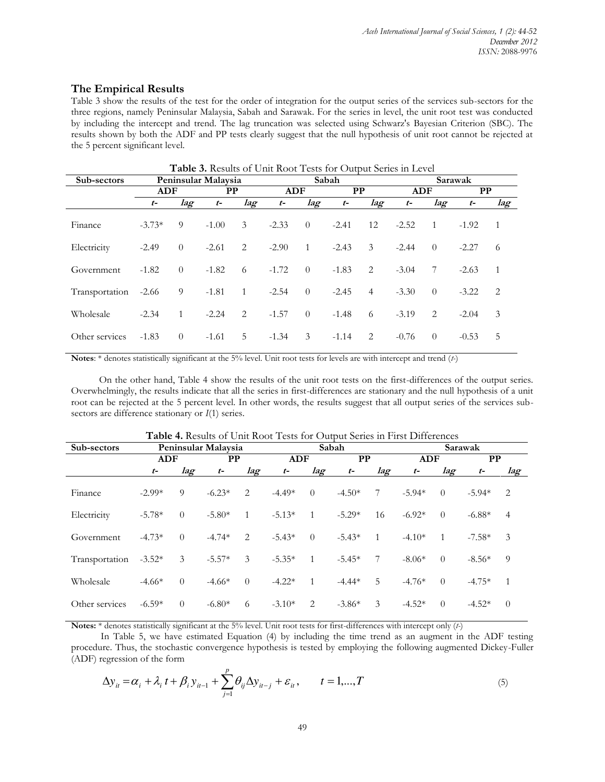# **The Empirical Results**

Table 3 show the results of the test for the order of integration for the output series of the services sub-sectors for the three regions, namely Peninsular Malaysia, Sabah and Sarawak. For the series in level, the unit root test was conducted by including the intercept and trend. The lag truncation was selected using Schwarz's Bayesian Criterion (SBC). The results shown by both the ADF and PP tests clearly suggest that the null hypothesis of unit root cannot be rejected at the 5 percent significant level.

|                |                  |                |                     |     |             |                | <b>Table 3.</b> Results of Unit Root Tests for Output Series in Level |                |         |                |         |                |  |  |
|----------------|------------------|----------------|---------------------|-----|-------------|----------------|-----------------------------------------------------------------------|----------------|---------|----------------|---------|----------------|--|--|
| Sub-sectors    |                  |                | Peninsular Malaysia |     |             |                | Sabah                                                                 |                |         | Sarawak        |         |                |  |  |
|                | <b>ADF</b><br>РP |                | <b>ADF</b>          |     | $_{\rm PP}$ |                | <b>ADF</b>                                                            |                | PP      |                |         |                |  |  |
|                | $t-$             | lag            | $t-$                | lag | $t-$        | lag            | $t-$                                                                  | lag            | $t-$    | lag            | $t-$    | lag            |  |  |
| Finance        | $-3.73*$         | 9              | $-1.00$             | 3   | $-2.33$     | $\theta$       | $-2.41$                                                               | 12             | $-2.52$ | $\overline{1}$ | $-1.92$ | $\mathbf{1}$   |  |  |
| Electricity    | $-2.49$          | $\overline{0}$ | $-2.61$             | 2   | $-2.90$     | $\mathbf{1}$   | $-2.43$                                                               | 3              | $-2.44$ | $\theta$       | $-2.27$ | 6              |  |  |
| Government     | $-1.82$          | $\theta$       | $-1.82$             | 6   | $-1.72$     | $\overline{0}$ | $-1.83$                                                               | 2              | $-3.04$ | 7              | $-2.63$ | $\overline{1}$ |  |  |
| Transportation | $-2.66$          | 9              | $-1.81$             | -1  | $-2.54$     | $\theta$       | $-2.45$                                                               | $\overline{4}$ | $-3.30$ | $\theta$       | $-3.22$ | 2              |  |  |
| Wholesale      | $-2.34$          | $\mathbf{1}$   | $-2.24$             | 2   | $-1.57$     | $\theta$       | $-1.48$                                                               | 6              | $-3.19$ | 2              | $-2.04$ | 3              |  |  |
| Other services | $-1.83$          | $\theta$       | $-1.61$             | 5   | $-1.34$     | 3              | $-1.14$                                                               | 2              | $-0.76$ | $\theta$       | $-0.53$ | 5              |  |  |

**Notes**: \* denotes statistically significant at the 5% level. Unit root tests for levels are with intercept and trend (*t-*)

On the other hand, Table 4 show the results of the unit root tests on the first-differences of the output series. Overwhelmingly, the results indicate that all the series in first-differences are stationary and the null hypothesis of a unit root can be rejected at the 5 percent level. In other words, the results suggest that all output series of the services subsectors are difference stationary or *I*(1) series.

|                |            |          |                     |                |            |                | <b>Table 7.</b> Results Of Office Root Tests for Output belies in First Differences |              |            |          |          |                |
|----------------|------------|----------|---------------------|----------------|------------|----------------|-------------------------------------------------------------------------------------|--------------|------------|----------|----------|----------------|
| Sub-sectors    |            |          | Peninsular Malaysia |                |            |                | Sabah                                                                               |              |            |          | Sarawak  |                |
|                | <b>ADF</b> |          | $_{\rm PP}$         |                | <b>ADF</b> |                | PP                                                                                  |              | <b>ADF</b> |          | PP       |                |
|                | $t-$       | lag      | $t-$                | lag            | $t-$       | lag            | $t-$                                                                                | lag          | $t-$       | lag      | $t-$     | lag            |
| Finance        | $-2.99*$   | 9        | $-6.23*$            | 2              | $-4.49*$   | $\theta$       | $-4.50*$                                                                            | 7            | $-5.94*$   | $\theta$ | $-5.94*$ | 2              |
| Electricity    | $-5.78*$   | $\theta$ | $-5.80*$            | $\mathbf{1}$   | $-5.13*$   | 1              | $-5.29*$                                                                            | 16           | $-6.92*$   | $\theta$ | $-6.88*$ | $\overline{4}$ |
| Government     | $-4.73*$   | $\theta$ | $-4.74*$            | 2              | $-5.43*$   | $\theta$       | $-5.43*$                                                                            | $\mathbf{1}$ | $-4.10*$   |          | $-7.58*$ | 3              |
| Transportation | $-3.52*$   | 3        | $-5.57*$            | 3              | $-5.35*$   | 1              | $-5.45*$                                                                            | 7            | $-8.06*$   | $\theta$ | $-8.56*$ | 9              |
| Wholesale      | $-4.66*$   | $\theta$ | $-4.66*$            | $\overline{0}$ | $-4.22*$   | $\overline{1}$ | $-4.44*$                                                                            | 5            | $-4.76*$   | $\theta$ | $-4.75*$ | $\mathbf{1}$   |
| Other services | $-6.59*$   | $\theta$ | $-6.80*$            | 6              | $-3.10*$   | 2              | $-3.86*$                                                                            | 3            | $-4.52*$   | $\theta$ | $-4.52*$ | $\theta$       |

# **Table 4.** Results of Unit Root Tests for Output Series in First Differences

**Notes:** \* denotes statistically significant at the 5% level. Unit root tests for first-differences with intercept only (*t-*)

In Table 5, we have estimated Equation (4) by including the time trend as an augment in the ADF testing procedure. Thus, the stochastic convergence hypothesis is tested by employing the following augmented Dickey-Fuller (ADF) regression of the form

$$
\Delta y_{it} = \alpha_i + \lambda_i t + \beta_i y_{it-1} + \sum_{j=1}^p \theta_{ij} \Delta y_{it-j} + \varepsilon_i, \qquad t = 1, \dots, T
$$
\n<sup>(5)</sup>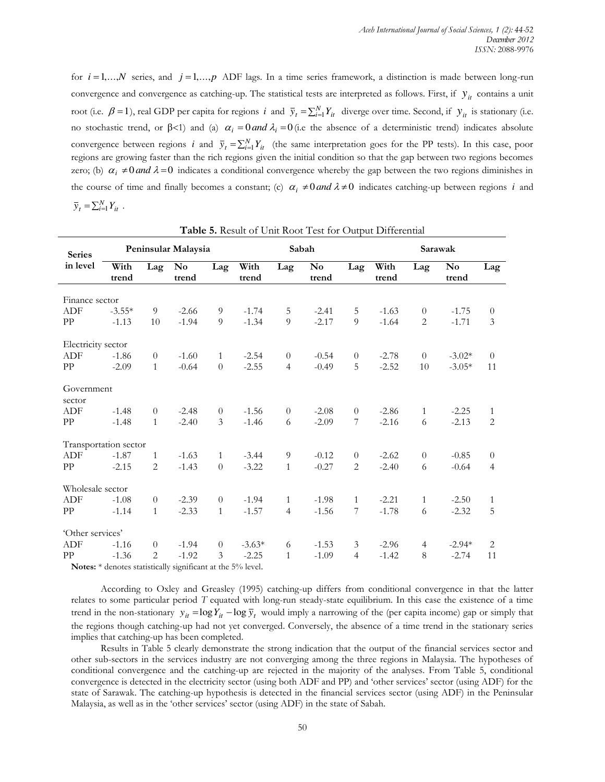for  $i = 1,...,N$  series, and  $j = 1,...,p$  ADF lags. In a time series framework, a distinction is made between long-run convergence and convergence as catching-up. The statistical tests are interpreted as follows. First, if  $y_{it}$  contains a unit root (i.e.  $\beta = 1$ ), real GDP per capita for regions *i* and  $\bar{y}_t = \sum_{i=1}^N Y_{it}$  diverge over time. Second, if  $y_{it}$  is stationary (i.e. no stochastic trend, or  $\beta$ <1) and (a)  $\alpha_i = 0$  *and*  $\lambda_i = 0$  (i.e the absence of a deterministic trend) indicates absolute convergence between regions *i* and  $\bar{y}_t = \sum_{i=1}^N Y_{it}$  (the same interpretation goes for the PP tests). In this case, poor regions are growing faster than the rich regions given the initial condition so that the gap between two regions becomes zero; (b)  $\alpha_i \neq 0$  *and*  $\lambda = 0$  indicates a conditional convergence whereby the gap between the two regions diminishes in the course of time and finally becomes a constant; (c)  $\alpha_i \neq 0$  and  $\lambda \neq 0$  indicates catching-up between regions *i* and  $\overline{y}_t = \sum_{i=1}^N Y_{it}$ .

|                       |                                      |                                                                                 |                         |                |               |                  | <b>Table 5.</b> Result of Office Root Test for Output Differential |                  |               |                |                                 |                |  |
|-----------------------|--------------------------------------|---------------------------------------------------------------------------------|-------------------------|----------------|---------------|------------------|--------------------------------------------------------------------|------------------|---------------|----------------|---------------------------------|----------------|--|
| <b>Series</b>         |                                      |                                                                                 | Peninsular Malaysia     |                |               |                  | Sabah                                                              |                  | Sarawak       |                |                                 |                |  |
| in level              | With<br>trend                        | Lag                                                                             | N <sub>0</sub><br>trend | Lag            | With<br>trend | Lag              | $\mathbf{N}\mathbf{o}$<br>trend                                    | Lag              | With<br>trend | Lag            | $\mathbf{N}\mathbf{o}$<br>trend | Lag            |  |
| Finance sector        |                                      |                                                                                 |                         |                |               |                  |                                                                    |                  |               |                |                                 |                |  |
| <b>ADF</b>            | $-3.55*$                             | 9                                                                               | $-2.66$                 | 9              | $-1.74$       | 5                | $-2.41$                                                            | 5                | $-1.63$       | $\theta$       | $-1.75$                         | $\theta$       |  |
| PP                    | $-1.13$                              | 10                                                                              | $-1.94$                 | 9              | $-1.34$       | 9                | $-2.17$                                                            | 9                | $-1.64$       | 2              | $-1.71$                         | $\mathfrak{Z}$ |  |
| Electricity sector    |                                      |                                                                                 |                         |                |               |                  |                                                                    |                  |               |                |                                 |                |  |
| <b>ADF</b>            | $-1.86$                              | $\theta$                                                                        | $-1.60$                 | $\mathbf{1}$   | $-2.54$       | $\boldsymbol{0}$ | $-0.54$                                                            | $\boldsymbol{0}$ | $-2.78$       | $\theta$       | $-3.02*$                        | $\theta$       |  |
| PP                    | $-2.09$                              | $\mathbf{1}$                                                                    | $-0.64$                 | $\Omega$       | $-2.55$       | $\overline{4}$   | $-0.49$                                                            | 5                | $-2.52$       | 10             | $-3.05*$                        | 11             |  |
| Government<br>sector  |                                      |                                                                                 |                         |                |               |                  |                                                                    |                  |               |                |                                 |                |  |
| ADF                   | $-1.48$                              | $\theta$                                                                        | $-2.48$                 | $\theta$       | $-1.56$       | $\theta$         | $-2.08$                                                            | $\boldsymbol{0}$ | $-2.86$       | $\mathbf{1}$   | $-2.25$                         | $\mathbf{1}$   |  |
| PP                    | $-1.48$                              | $\mathbf{1}$                                                                    | $-2.40$                 | 3              | $-1.46$       | 6                | $-2.09$                                                            | 7                | $-2.16$       | 6              | $-2.13$                         | $\overline{2}$ |  |
| Transportation sector |                                      |                                                                                 |                         |                |               |                  |                                                                    |                  |               |                |                                 |                |  |
| <b>ADF</b>            | $-1.87$                              | 1                                                                               | $-1.63$                 | $\mathbf{1}$   | $-3.44$       | 9                | $-0.12$                                                            | $\boldsymbol{0}$ | $-2.62$       | $\theta$       | $-0.85$                         | $\theta$       |  |
| PP                    | $-2.15$                              | $\overline{2}$                                                                  | $-1.43$                 | $\overline{0}$ | $-3.22$       | $\mathbf{1}$     | $-0.27$                                                            | $\overline{2}$   | $-2.40$       | 6              | $-0.64$                         | $\overline{4}$ |  |
| Wholesale sector      |                                      |                                                                                 |                         |                |               |                  |                                                                    |                  |               |                |                                 |                |  |
| <b>ADF</b>            | $-1.08$                              | $\overline{0}$                                                                  | $-2.39$                 | $\theta$       | $-1.94$       | $\mathbf{1}$     | $-1.98$                                                            | $\mathbf{1}$     | $-2.21$       | $\mathbf{1}$   | $-2.50$                         | $\mathbf{1}$   |  |
| PP                    | $-1.14$                              | $\mathbf{1}$                                                                    | $-2.33$                 | $\mathbf{1}$   | $-1.57$       | $\overline{4}$   | $-1.56$                                                            | 7                | $-1.78$       | 6              | $-2.32$                         | 5              |  |
| 'Other services'      |                                      |                                                                                 |                         |                |               |                  |                                                                    |                  |               |                |                                 |                |  |
| <b>ADF</b>            | $-1.16$                              | $\theta$                                                                        | $-1.94$                 | $\theta$       | $-3.63*$      | 6                | $-1.53$                                                            | 3                | $-2.96$       | $\overline{4}$ | $-2.94*$                        | 2              |  |
| PP                    | $-1.36$                              | 2                                                                               | $-1.92$                 | 3              | $-2.25$       | $\mathbf{1}$     | $-1.09$                                                            | $\overline{4}$   | $-1.42$       | 8              | $-2.74$                         | 11             |  |
|                       | <b>Contract of Contract Contract</b> | the contract of the contract of the contract of the contract of the contract of |                         |                |               |                  |                                                                    |                  |               |                |                                 |                |  |

| Table 5. Result of Unit Root Test for Output Differential |
|-----------------------------------------------------------|
|-----------------------------------------------------------|

**Notes:** \* denotes statistically significant at the 5% level.

According to Oxley and Greasley (1995) catching-up differs from conditional convergence in that the latter relates to some particular period *T* equated with long-run steady-state equilibrium. In this case the existence of a time trend in the non-stationary  $y_{it} = \log Y_{it} - \log \bar{y}_t$  would imply a narrowing of the (per capita income) gap or simply that the regions though catching-up had not yet converged. Conversely, the absence of a time trend in the stationary series implies that catching-up has been completed.

Results in Table 5 clearly demonstrate the strong indication that the output of the financial services sector and other sub-sectors in the services industry are not converging among the three regions in Malaysia. The hypotheses of conditional convergence and the catching-up are rejected in the majority of the analyses. From Table 5, conditional convergence is detected in the electricity sector (using both ADF and PP) and "other services" sector (using ADF) for the state of Sarawak. The catching-up hypothesis is detected in the financial services sector (using ADF) in the Peninsular Malaysia, as well as in the "other services" sector (using ADF) in the state of Sabah.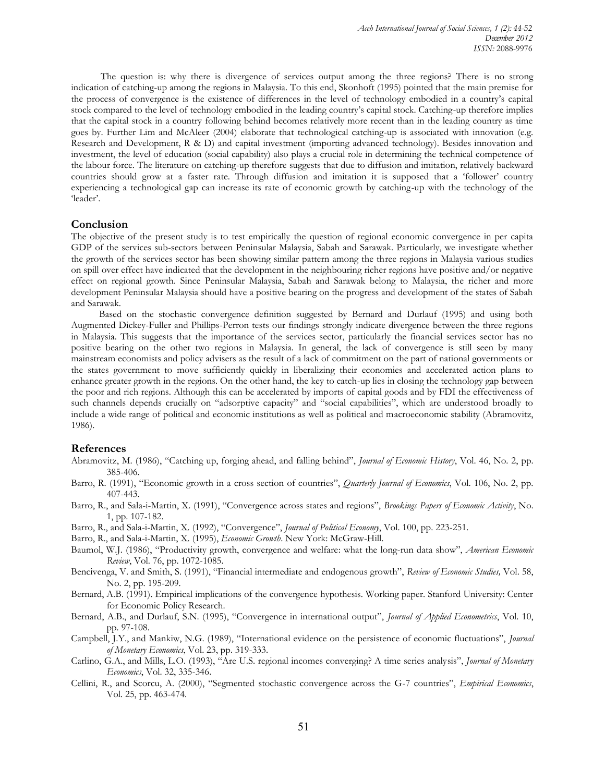The question is: why there is divergence of services output among the three regions? There is no strong indication of catching-up among the regions in Malaysia. To this end, Skonhoft (1995) pointed that the main premise for the process of convergence is the existence of differences in the level of technology embodied in a country"s capital stock compared to the level of technology embodied in the leading country"s capital stock. Catching-up therefore implies that the capital stock in a country following behind becomes relatively more recent than in the leading country as time goes by. Further Lim and McAleer (2004) elaborate that technological catching-up is associated with innovation (e.g. Research and Development, R & D) and capital investment (importing advanced technology). Besides innovation and investment, the level of education (social capability) also plays a crucial role in determining the technical competence of the labour force. The literature on catching-up therefore suggests that due to diffusion and imitation, relatively backward countries should grow at a faster rate. Through diffusion and imitation it is supposed that a "follower" country experiencing a technological gap can increase its rate of economic growth by catching-up with the technology of the "leader".

## **Conclusion**

The objective of the present study is to test empirically the question of regional economic convergence in per capita GDP of the services sub-sectors between Peninsular Malaysia, Sabah and Sarawak. Particularly, we investigate whether the growth of the services sector has been showing similar pattern among the three regions in Malaysia various studies on spill over effect have indicated that the development in the neighbouring richer regions have positive and/or negative effect on regional growth. Since Peninsular Malaysia, Sabah and Sarawak belong to Malaysia, the richer and more development Peninsular Malaysia should have a positive bearing on the progress and development of the states of Sabah and Sarawak.

Based on the stochastic convergence definition suggested by Bernard and Durlauf (1995) and using both Augmented Dickey-Fuller and Phillips-Perron tests our findings strongly indicate divergence between the three regions in Malaysia. This suggests that the importance of the services sector, particularly the financial services sector has no positive bearing on the other two regions in Malaysia. In general, the lack of convergence is still seen by many mainstream economists and policy advisers as the result of a lack of commitment on the part of national governments or the states government to move sufficiently quickly in liberalizing their economies and accelerated action plans to enhance greater growth in the regions. On the other hand, the key to catch-up lies in closing the technology gap between the poor and rich regions. Although this can be accelerated by imports of capital goods and by FDI the effectiveness of such channels depends crucially on "adsorptive capacity" and "social capabilities", which are understood broadly to include a wide range of political and economic institutions as well as political and macroeconomic stability (Abramovitz, 1986).

## **References**

- Abramovitz, M. (1986), "Catching up, forging ahead, and falling behind", *Journal of Economic History*, Vol. 46, No. 2, pp. 385-406.
- Barro, R. (1991), "Economic growth in a cross section of countries", *Quarterly Journal of Economics*, Vol. 106, No. 2, pp. 407-443.
- Barro, R., and Sala-i-Martin, X. (1991), "Convergence across states and regions", *Brookings Papers of Economic Activity*, No. 1, pp. 107-182.
- Barro, R., and Sala-i-Martin, X. (1992), "Convergence", *Journal of Political Economy*, Vol. 100, pp. 223-251.
- Barro, R., and Sala-i-Martin, X. (1995), *Economic Growth*. New York: McGraw-Hill.
- Baumol, W.J. (1986), "Productivity growth, convergence and welfare: what the long-run data show", *American Economic Review*, Vol. 76, pp. 1072-1085.
- Bencivenga, V. and Smith, S. (1991), "Financial intermediate and endogenous growth", *Review of Economic Studies,* Vol. 58, No. 2, pp. 195-209.
- Bernard, A.B. (1991). Empirical implications of the convergence hypothesis. Working paper. Stanford University: Center for Economic Policy Research.
- Bernard, A.B., and Durlauf, S.N. (1995), "Convergence in international output", *Journal of Applied Econometrics*, Vol. 10, pp. 97-108.
- Campbell, J.Y., and Mankiw, N.G. (1989), "International evidence on the persistence of economic fluctuations", *Journal of Monetary Economics*, Vol. 23, pp. 319-333.
- Carlino, G.A., and Mills, L.O. (1993), "Are U.S. regional incomes converging? A time series analysis", *Journal of Monetary Economics*, Vol. 32, 335-346.
- Cellini, R., and Scorcu, A. (2000), "Segmented stochastic convergence across the G-7 countries", *Empirical Economics*, Vol. 25, pp. 463-474.